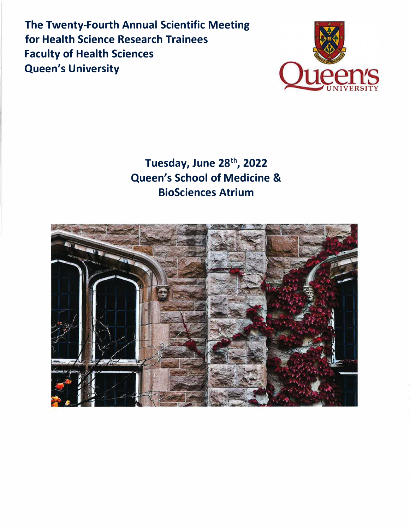**The Twenty-Fourth Annual Scientific Meeting for Health Science Research Trainees Faculty of Health Sciences Queen's University** 



# **Tuesday, June 28 th , 2022 Queen's School of Medicine & BioSciences Atrium**

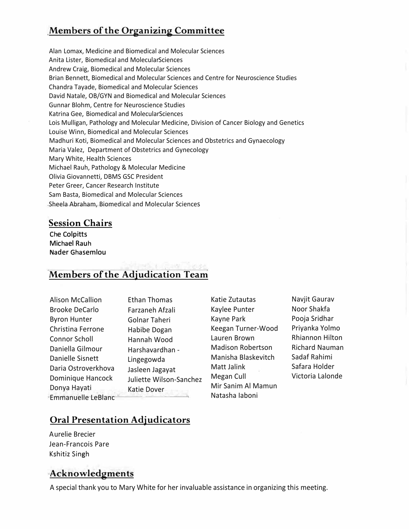# **Members of the Organizing Committee**

Alan Lomax, Medicine and Biomedical and Molecular Sciences Anita Lister, Biomedical and Molecular Sciences Andrew Craig, Biomedical and Molecular Sciences Brian Bennett, Biomedical and Molecular Sciences and Centre for Neuroscience Studies Chandra Tayade, Biomedical and Molecular Sciences David Natale, OB/GYN and Biomedical and Molecular Sciences Gunnar Blohm, Centre for Neuroscience Studies Katrina Gee, Biomedical and MolecularSciences Lois Mulligan, Pathology and Molecular Medicine, Division of Cancer Biology and Genetics Louise Winn, Biomedical and Molecular Sciences Madhuri Koti, Biomedical and Molecular Sciences and Obstetrics and Gynaecology Maria Valez, Department of Obstetrics and Gynecology Mary White, Health Sciences Michael Rauh, Pathology & Molecular Medicine Olivia Giovannetti, DBMS GSC President Peter Greer, Cancer Research Institute Sam Basta, Biomedical and Molecular Sciences Sheela Abraham, Biomedical and Molecular Sciences

#### **Session Chairs**

**Che Colpitts Michael Rauh Nader Ghasemlou** 

# **Members** of the Adjudication Team

| <b>Alison McCallion</b>   | <b>Ethan Thomas</b>     |
|---------------------------|-------------------------|
| <b>Brooke DeCarlo</b>     | Farzaneh Afzali         |
| <b>Byron Hunter</b>       | Golnar Taheri           |
| Christina Ferrone         | Habibe Dogan            |
| Connor Scholl             | Hannah Wood             |
| Daniella Gilmour          | Harshavardhan -         |
| Danielle Sisnett          | Lingegowda              |
| Daria Ostroverkhova       | Jasleen Jagayat         |
| Dominique Hancock         | Juliette Wilson-Sanchez |
| Donya Hayati              | Katie Dover             |
| <b>Emmanuelle LeBlanc</b> |                         |

Katie Zutautas Kaylee Punter Kayne Park Keegan Turner-Wood Lauren Brown Madison Robertson Manisha Blaskevitch Matt Jalink Megan Cull Mir Sanim Al Mamun Natasha Iaboni

Navjit Gaurav Noor Shakfa Pooja Sridhar Priyanka Yolmo Rhiannon Hilton Richard Nauman Sadaf Rahimi Safara Holder Victoria Lalonde

# **Oral Presentation Adjudicators**

Aurelie Brecier Jean-Francois Pare Kshitiz Singh

## **Acknowledgments**

A special thank you to Mary White for her invaluable assistance in organizing this meeting.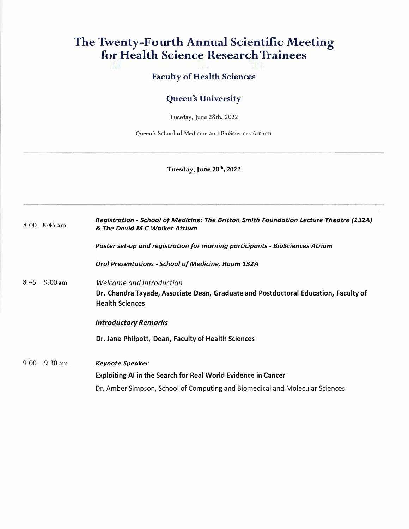# **The Twenty-Fourth Annual Scientific Meeting for Health Science Research Trainees**

#### **Faculty of Health Sciences**

#### **Queen's University**

Tuesday, June 28th, 2022

Queen's School of Medicine and BioSciences Atrium

#### **Tuesday, June 28 th , 2022**

| $8:00 - 8:45$ am | Registration - School of Medicine: The Britton Smith Foundation Lecture Theatre (132A)<br>& The David M C Walker Atrium                   |
|------------------|-------------------------------------------------------------------------------------------------------------------------------------------|
|                  | Poster set-up and registration for morning participants - BioSciences Atrium                                                              |
|                  | <b>Oral Presentations - School of Medicine, Room 132A</b>                                                                                 |
| $8:45 - 9:00$ am | Welcome and Introduction<br>Dr. Chandra Tayade, Associate Dean, Graduate and Postdoctoral Education, Faculty of<br><b>Health Sciences</b> |
|                  | <b>Introductory Remarks</b>                                                                                                               |
|                  | Dr. Jane Philpott, Dean, Faculty of Health Sciences                                                                                       |
| $9:00 - 9:30$ am | <b>Keynote Speaker</b>                                                                                                                    |
|                  | <b>Exploiting AI in the Search for Real World Evidence in Cancer</b>                                                                      |
|                  | Dr. Amber Simpson, School of Computing and Biomedical and Molecular Sciences                                                              |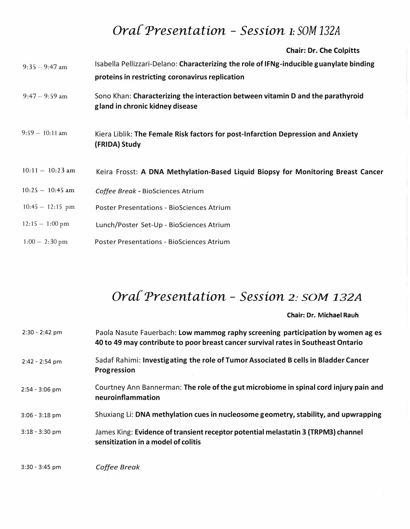# *Ora{ 'Presentation* - *Session 1: SO<sup>M</sup> 132A*

**Chair: Dr. Che Colpitts** 

| $9:35 - 9:47$ am   | Isabella Pellizzari-Delano: Characterizing the role of IFNg-inducible guanylate binding<br>proteins in restricting coronavirus replication |
|--------------------|--------------------------------------------------------------------------------------------------------------------------------------------|
| $9:47 - 9:59$ am   | Sono Khan: Characterizing the interaction between vitamin D and the parathyroid<br>gland in chronic kidney disease                         |
| $9:59 - 10:11$ am  | Kiera Liblik: The Female Risk factors for post-Infarction Depression and Anxiety<br>(FRIDA) Study                                          |
| $10:11 - 10:23$ am | Keira Frosst: A DNA Methylation-Based Liquid Biopsy for Monitoring Breast Cancer                                                           |
| $10:25 - 10:45$ am | Coffee Break - BioSciences Atrium                                                                                                          |
| $10:45 - 12:15$ pm | <b>Poster Presentations - BioSciences Atrium</b>                                                                                           |
| $12:15 - 1:00$ pm  | Lunch/Poster Set-Up - BioSciences Atrium                                                                                                   |
| $1:00 - 2:30$ pm   | <b>Poster Presentations - BioSciences Atrium</b>                                                                                           |

# *Ora{ 'Presentation* - *Session 2: SOM 132A*

**Chair: Dr. Michael Rauh**

| 2:30 - 2:42 pm   | Paola Nasute Fauerbach: Low mammog raphy screening participation by women ag es<br>40 to 49 may contribute to poor breast cancer survival rates in Southeast Ontario |
|------------------|----------------------------------------------------------------------------------------------------------------------------------------------------------------------|
| 2:42 - 2:54 pm   | Sadaf Rahimi: Investigating the role of Tumor Associated B cells in Bladder Cancer<br>Progression                                                                    |
| $2:54 - 3:06$ pm | Courtney Ann Bannerman: The role of the gut microbiome in spinal cord injury pain and<br>neuroinflammation                                                           |
| $3:06 - 3:18$ pm | Shuxiang Li: DNA methylation cues in nucleosome geometry, stability, and upwrapping                                                                                  |
| 3:18 - 3:30 pm   | James King: Evidence of transient receptor potential melastatin 3 (TRPM3) channel<br>sensitization in a model of colitis                                             |
| $3:30 - 3:45$ pm | Coffee Break                                                                                                                                                         |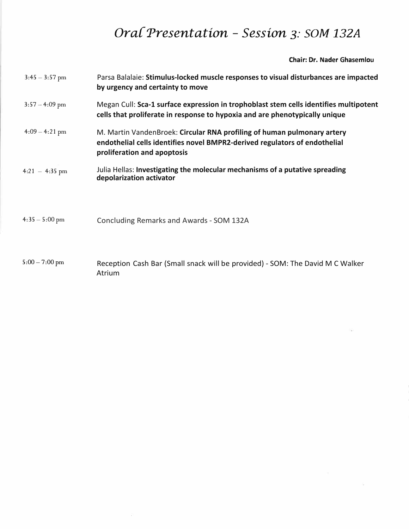# *Ora{ 'Presentation* - *Session 3: SOM 132A*

**Chair: Dr. Nader Ghasemlou**

| $3:45 - 3:57$ pm | Parsa Balalaie: Stimulus-locked muscle responses to visual disturbances are impacted<br>by urgency and certainty to move                                                             |
|------------------|--------------------------------------------------------------------------------------------------------------------------------------------------------------------------------------|
| $3:57 - 4:09$ pm | Megan Cull: Sca-1 surface expression in trophoblast stem cells identifies multipotent<br>cells that proliferate in response to hypoxia and are phenotypically unique                 |
| $4:09 - 4:21$ pm | M. Martin VandenBroek: Circular RNA profiling of human pulmonary artery<br>endothelial cells identifies novel BMPR2-derived regulators of endothelial<br>proliferation and apoptosis |
| $4:21 - 4:35$ pm | Julia Hellas: Investigating the molecular mechanisms of a putative spreading<br>depolarization activator                                                                             |
| $4:35-5:00$ pm   | Concluding Remarks and Awards - SOM 132A                                                                                                                                             |
| $5:00 - 7:00$ pm | Reception Cash Bar (Small snack will be provided) - SOM: The David M C Walker<br>Atrium                                                                                              |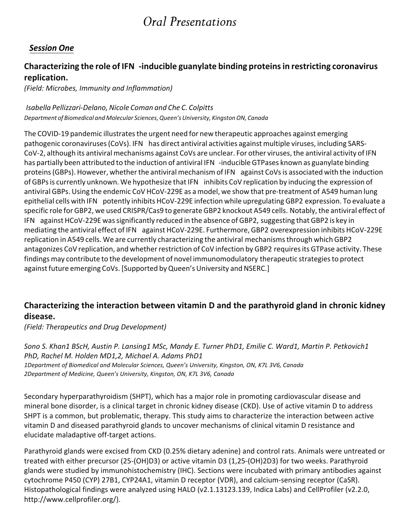# *Oral Presentations*

## *Session One*

## **Characterizing the role of IFN -inducible guanylate binding proteinsin restricting coronavirus replication.**

*(Field: Microbes, Immunity and Inflammation)*

#### *Isabella Pellizzari-Delano, Nicole Coman and Che C. Colpitts Department of Biomedical and Molecular Sciences, Queen's University, Kingston ON, Canada*

The COVID-19 pandemic illustrates the urgent need for new therapeutic approaches against emerging pathogenic coronaviruses (CoVs). IFN has direct antiviral activities against multiple viruses, including SARS-CoV-2, although its antiviral mechanisms against CoVs are unclear. For other viruses, the antiviral activity of IFN has partially been attributed to the induction of antiviral IFN -inducible GTPases known as guanylate binding proteins (GBPs). However, whether the antiviral mechanism of IFN against CoVs is associated with the induction of GBPs is currently unknown. We hypothesize that IFN inhibits CoV replication by inducing the expression of antiviral GBPs. Using the endemic CoV HCoV-229E as a model, we show that pre-treatment of A549 human lung epithelial cells with IFN potently inhibits HCoV-229E infection while upregulating GBP2 expression. To evaluate a specific role for GBP2, we used CRISPR/Cas9 to generate GBP2 knockout A549 cells. Notably, the antiviral effect of IFN against HCoV-229E was significantly reduced in the absence of GBP2, suggesting that GBP2 is key in mediating the antiviral effect of IFN against HCoV-229E. Furthermore, GBP2 overexpression inhibits HCoV-229E replication in A549 cells. We are currently characterizing the antiviral mechanisms through which GBP2 antagonizes CoV replication, and whether restriction of CoV infection by GBP2 requires its GTPase activity. These findings may contribute to the development of novel immunomodulatory therapeutic strategies to protect against future emerging CoVs. [Supported by Queen's University and NSERC.]

#### **Characterizing the interaction between vitamin D and the parathyroid gland in chronic kidney disease.**

*(Field: Therapeutics and Drug Development)*

*Sono S. Khan1 BScH, Austin P. Lansing1 MSc, Mandy E. Turner PhD1, Emilie C. Ward1, Martin P. Petkovich1 PhD, Rachel M. Holden MD1,2, Michael A. Adams PhD1 1Department of Biomedical and Molecular Sciences, Queen's University, Kingston, ON, K7L 3V6, Canada 2Department of Medicine, Queen's University, Kingston, ON, K7L 3V6, Canada*

Secondary hyperparathyroidism (SHPT), which has a major role in promoting cardiovascular disease and mineral bone disorder, is a clinical target in chronic kidney disease (CKD). Use of active vitamin D to address SHPT is a common, but problematic, therapy. This study aims to characterize the interaction between active vitamin D and diseased parathyroid glands to uncover mechanisms of clinical vitamin D resistance and elucidate maladaptive off-target actions.

Parathyroid glands were excised from CKD (0.25% dietary adenine) and control rats. Animals were untreated or treated with either precursor (25-(OH)D3) or active vitamin D3 (1,25-(OH)2D3) for two weeks. Parathyroid glands were studied by immunohistochemistry (IHC). Sections were incubated with primary antibodies against cytochrome P450 (CYP) 27B1, CYP24A1, vitamin D receptor (VDR), and calcium-sensing receptor (CaSR). Histopathological findings were analyzed using HALO (v2.1.13123.139, Indica Labs) and CellProfiler (v2.2.0, http://www.cellprofiler.org/).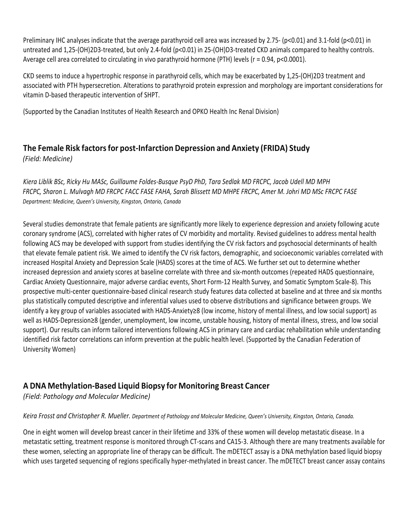Preliminary IHC analyses indicate that the average parathyroid cell area was increased by 2.75- (p<0.01) and 3.1-fold (p<0.01) in untreated and 1,25-(OH)2D3-treated, but only 2.4-fold (p<0.01) in 25-(OH)D3-treated CKD animals compared to healthy controls. Average cell area correlated to circulating in vivo parathyroid hormone (PTH) levels (r = 0.94, p<0.0001).

CKD seems to induce a hypertrophic response in parathyroid cells, which may be exacerbated by 1,25-(OH)2D3 treatment and associated with PTH hypersecretion. Alterations to parathyroid protein expression and morphology are important considerations for vitamin D-based therapeutic intervention of SHPT.

(Supported by the Canadian Institutes of Health Research and OPKO Health Inc Renal Division)

# **The Female Risk factorsfor post-Infarction Depression and Anxiety (FRIDA) Study**

*(Field: Medicine)*

*Kiera Liblik BSc, Ricky Hu MASc, Guillaume Foldes-Busque PsyD PhD, Tara Sedlak MD FRCPC, Jacob Udell MD MPH FRCPC, Sharon L. Mulvagh MD FRCPC FACC FASE FAHA, Sarah Blissett MD MHPE FRCPC, Amer M. Johri MD MSc FRCPC FASE Department: Medicine, Queen's University, Kingston, Ontario, Canada*

Several studies demonstrate that female patients are significantly more likely to experience depression and anxiety following acute coronary syndrome (ACS), correlated with higher rates of CV morbidity and mortality. Revised guidelines to address mental health following ACS may be developed with support from studies identifying the CV risk factors and psychosocial determinants of health that elevate female patient risk. We aimed to identify the CV risk factors, demographic, and socioeconomic variables correlated with increased Hospital Anxiety and Depression Scale (HADS) scores at the time of ACS. We further set out to determine whether increased depression and anxiety scores at baseline correlate with three and six-month outcomes (repeated HADS questionnaire, Cardiac Anxiety Questionnaire, major adverse cardiac events, Short Form-12 Health Survey, and Somatic Symptom Scale-8). This prospective multi-center questionnaire-based clinical research study features data collected at baseline and at three and six months plus statistically computed descriptive and inferential values used to observe distributions and significance between groups. We identify a key group of variables associated with HADS-Anxiety≥8 (low income, history of mental illness, and low social support) as well as HADS-Depression≥8 (gender, unemployment, low income, unstable housing, history of mental illness, stress, and low social support). Our results can inform tailored interventions following ACS in primary care and cardiac rehabilitation while understanding identified risk factor correlations can inform prevention at the public health level. (Supported by the Canadian Federation of University Women)

#### **A DNA Methylation-Based Liquid Biopsy for Monitoring Breast Cancer**

*(Field: Pathology and Molecular Medicine)*

*Keira Frosst and Christopher R. Mueller. Department of Pathology and Molecular Medicine, Queen's University, Kingston, Ontario, Canada.*

One in eight women will develop breast cancer in their lifetime and 33% of these women will develop metastatic disease. In a metastatic setting, treatment response is monitored through CT-scans and CA15-3. Although there are many treatments available for these women, selecting an appropriate line of therapy can be difficult. The mDETECT assay is a DNA methylation based liquid biopsy which uses targeted sequencing of regions specifically hyper-methylated in breast cancer. The mDETECT breast cancer assay contains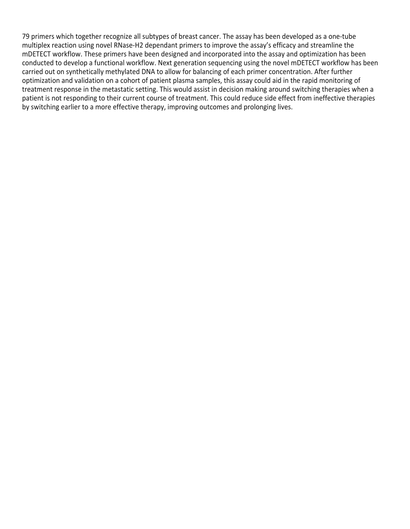79 primers which together recognize all subtypes of breast cancer. The assay has been developed as a one-tube multiplex reaction using novel RNase-H2 dependant primers to improve the assay's efficacy and streamline the mDETECT workflow. These primers have been designed and incorporated into the assay and optimization has been conducted to develop a functional workflow. Next generation sequencing using the novel mDETECT workflow has been carried out on synthetically methylated DNA to allow for balancing of each primer concentration. After further optimization and validation on a cohort of patient plasma samples, this assay could aid in the rapid monitoring of treatment response in the metastatic setting. This would assist in decision making around switching therapies when a patient is not responding to their current course of treatment. This could reduce side effect from ineffective therapies by switching earlier to a more effective therapy, improving outcomes and prolonging lives.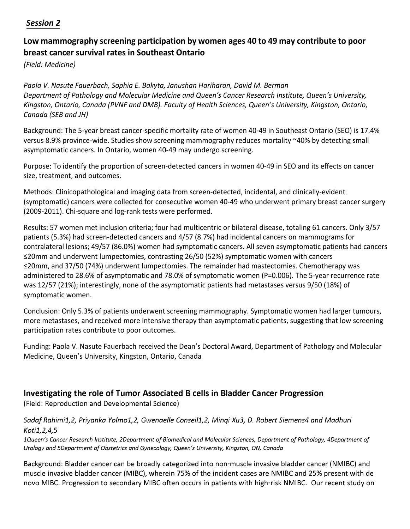#### *Session 2*

## **Low mammography screening participation by women ages 40 to 49 may contribute to poor breast cancer survival rates in Southeast Ontario**

*(Field: Medicine)*

*Paola V. Nasute Fauerbach, Sophia E. Bakyta, Janushan Hariharan, David M. Berman Department of Pathology and Molecular Medicine and Queen's Cancer Research Institute, Queen's University, Kingston, Ontario, Canada (PVNF and DMB). Faculty of Health Sciences, Queen's University, Kingston, Ontario, Canada (SEB and JH)*

Background: The 5-year breast cancer-specific mortality rate of women 40-49 in Southeast Ontario (SEO) is 17.4% versus 8.9% province-wide. Studies show screening mammography reduces mortality ~40% by detecting small asymptomatic cancers. In Ontario, women 40-49 may undergo screening.

Purpose: To identify the proportion of screen-detected cancers in women 40-49 in SEO and its effects on cancer size, treatment, and outcomes.

Methods: Clinicopathological and imaging data from screen-detected, incidental, and clinically-evident (symptomatic) cancers were collected for consecutive women 40-49 who underwent primary breast cancer surgery (2009-2011). Chi-square and log-rank tests were performed.

Results: 57 women met inclusion criteria; four had multicentric or bilateral disease, totaling 61 cancers. Only 3/57 patients (5.3%) had screen-detected cancers and 4/57 (8.7%) had incidental cancers on mammograms for contralateral lesions; 49/57 (86.0%) women had symptomatic cancers. All seven asymptomatic patients had cancers ≤20mm and underwent lumpectomies, contrasting 26/50 (52%) symptomatic women with cancers ≤20mm, and 37/50 (74%) underwent lumpectomies. The remainder had mastectomies. Chemotherapy was administered to 28.6% of asymptomatic and 78.0% of symptomatic women (P=0.006). The 5-year recurrence rate was 12/57 (21%); interestingly, none of the asymptomatic patients had metastases versus 9/50 (18%) of symptomatic women.

Conclusion: Only 5.3% of patients underwent screening mammography. Symptomatic women had larger tumours, more metastases, and received more intensive therapy than asymptomatic patients, suggesting that low screening participation rates contribute to poor outcomes.

Funding: Paola V. Nasute Fauerbach received the Dean's Doctoral Award, Department of Pathology and Molecular Medicine, Queen's University, Kingston, Ontario, Canada

## **Investigating the role of Tumor Associated B cells in Bladder Cancer Progression**

(Field: Reproduction and Developmental Science)

#### *Sadaf Rahimi1,2, Priyanka Yolmo1,2, Gwenaelle Conseil1,2, Minqi Xu3, D. Robert Siemens4 and Madhuri Koti1,2,4,5*

*1Queen's Cancer Research Institute, 2Department of Biomedical and Molecular Sciences, Department of Pathology, 4Department of Urology and 5Department of Obstetrics and Gynecology, Queen's University, Kingston, ON, Canada*

Background: Bladder cancer can be broadly categorized into non-muscle invasive bladder cancer (NMIBC) and muscle invasive bladder cancer (MIBC), wherein 75% of the incident cases are NMIBC and 25% present with de novo MIBC. Progression to secondary MIBC often occurs in patients with high-risk NMIBC. Our recent study on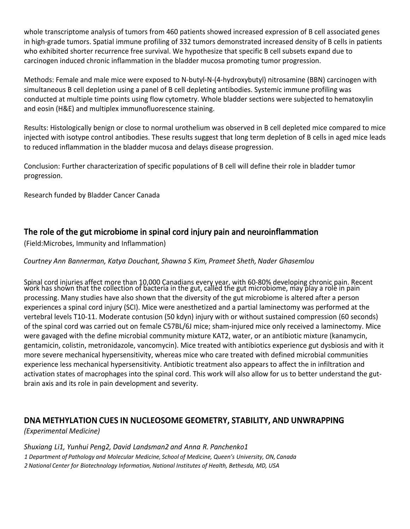whole transcriptome analysis of tumors from 460 patients showed increased expression of B cell associated genes in high-grade tumors. Spatial immune profiling of 332 tumors demonstrated increased density of B cells in patients who exhibited shorter recurrence free survival. We hypothesize that specific B cell subsets expand due to carcinogen induced chronic inflammation in the bladder mucosa promoting tumor progression.

Methods: Female and male mice were exposed to N-butyl-N-(4-hydroxybutyl) nitrosamine (BBN) carcinogen with simultaneous B cell depletion using a panel of B cell depleting antibodies. Systemic immune profiling was conducted at multiple time points using flow cytometry. Whole bladder sections were subjected to hematoxylin and eosin (H&E) and multiplex immunofluorescence staining.

Results: Histologically benign or close to normal urothelium was observed in B cell depleted mice compared to mice injected with isotype control antibodies. These results suggest that long term depletion of B cells in aged mice leads to reduced inflammation in the bladder mucosa and delays disease progression.

Conclusion: Further characterization of specific populations of B cell will define their role in bladder tumor progression.

Research funded by Bladder Cancer Canada

#### **Th**e ro**l**e o**f** t**h**e gut **m**icro**b**io**m**e in s**p**ina**l** cord in**j**ur**y p**ain and neuroin**fl**a**mm**ation

(Field:Microbes, Immunity and Inflammation)

#### *Courtney Ann Bannerman, Katya Douchant, Shawna S Kim, Prameet Sheth, Nader Ghasemlou*

Spinal cord injuries affect more than 10,000 Canadians every year, with 60-80% developing chronic pain. Recent work has shown that the collection of bacteria in the gut, calléd the gut microbiome, may play a role in pain processing. Many studies have also shown that the diversity of the gut microbiome is altered after a person experiences a spinal cord injury (SCI). Mice were anesthetized and a partial laminectomy was performed at the vertebral levels T10-11. Moderate contusion (50 kdyn) injury with or without sustained compression (60 seconds) of the spinal cord was carried out on female C57BL/6J mice; sham-injured mice only received a laminectomy. Mice were gavaged with the define microbial community mixture KAT2, water, or an antibiotic mixture (kanamycin, gentamicin, colistin, metronidazole, vancomycin). Mice treated with antibiotics experience gut dysbiosis and with it more severe mechanical hypersensitivity, whereas mice who care treated with defined microbial communities experience less mechanical hypersensitivity. Antibiotic treatment also appears to affect the in infiltration and activation states of macrophages into the spinal cord. This work will also allow for us to better understand the gutbrain axis and its role in pain development and severity.

#### **D**N**A METHYLATIO**N C**UE**S **I**N N**U**C**LEO**S**OME GEOMETRY,** S**TABILITY, A**N**D U**N**WRA**PP**I**N**G**

#### *(Experimental Medicine)*

*Shuxiang Li1, Yunhui Peng2, David Landsman2 and Anna R. Panchenko1 1 Department of Pathology and Molecular Medicine, School of Medicine, Queen's University, ON, Canada 2 National Center for Biotechnology Information, National Institutes of Health, Bethesda, MD, USA*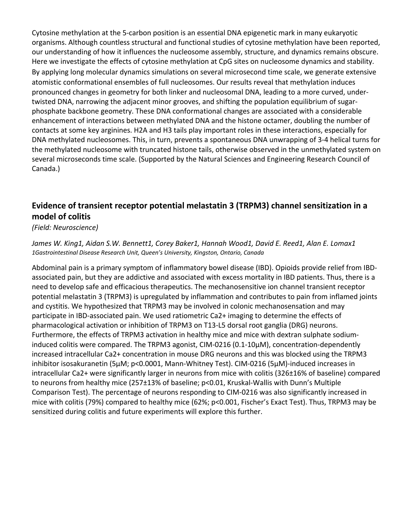Cytosine methylation at the 5-carbon position is an essential DNA epigenetic mark in many eukaryotic organisms. Although countless structural and functional studies of cytosine methylation have been reported, our understanding of how it influences the nucleosome assembly, structure, and dynamics remains obscure. Here we investigate the effects of cytosine methylation at CpG sites on nucleosome dynamics and stability. By applying long molecular dynamics simulations on several microsecond time scale, we generate extensive atomistic conformational ensembles of full nucleosomes. Our results reveal that methylation induces pronounced changes in geometry for both linker and nucleosomal DNA, leading to a more curved, undertwisted DNA, narrowing the adjacent minor grooves, and shifting the population equilibrium of sugarphosphate backbone geometry. These DNA conformational changes are associated with a considerable enhancement of interactions between methylated DNA and the histone octamer, doubling the number of contacts at some key arginines. H2A and H3 tails play important roles in these interactions, especially for DNA methylated nucleosomes. This, in turn, prevents a spontaneous DNA unwrapping of 3-4 helical turns for the methylated nucleosome with truncated histone tails, otherwise observed in the unmethylated system on several microseconds time scale. (Supported by the Natural Sciences and Engineering Research Council of Canada.)

## **Evidence of transient receptor potential melastatin 3 (TRPM3) channel sensitization in a model of colitis**

#### *(Field: Neuroscience)*

*James W. King1, Aidan S.W. Bennett1, Corey Baker1, Hannah Wood1, David E. Reed1, Alan E. Lomax1 1Gastrointestinal Disease Research Unit, Queen's University, Kingston, Ontario, Canada*

Abdominal pain is a primary symptom of inflammatory bowel disease (IBD). Opioids provide relief from IBDassociated pain, but they are addictive and associated with excess mortality in IBD patients. Thus, there is a need to develop safe and efficacious therapeutics. The mechanosensitive ion channel transient receptor potential melastatin 3 (TRPM3) is upregulated by inflammation and contributes to pain from inflamed joints and cystitis. We hypothesized that TRPM3 may be involved in colonic mechanosensation and may participate in IBD-associated pain. We used ratiometric Ca2+ imaging to determine the effects of pharmacological activation or inhibition of TRPM3 on T13-L5 dorsal root ganglia (DRG) neurons. Furthermore, the effects of TRPM3 activation in healthy mice and mice with dextran sulphate sodiuminduced colitis were compared. The TRPM3 agonist, CIM-0216 (0.1-10µM), concentration-dependently increased intracellular Ca2+ concentration in mouse DRG neurons and this was blocked using the TRPM3 inhibitor isosakuranetin (5µM; p<0.0001, Mann-Whitney Test). CIM-0216 (5µM)-induced increases in intracellular Ca2+ were significantly larger in neurons from mice with colitis (326±16% of baseline) compared to neurons from healthy mice (257±13% of baseline; p<0.01, Kruskal-Wallis with Dunn's Multiple Comparison Test). The percentage of neurons responding to CIM-0216 was also significantly increased in mice with colitis (79%) compared to healthy mice (62%; p<0.001, Fischer's Exact Test). Thus, TRPM3 may be sensitized during colitis and future experiments will explore this further.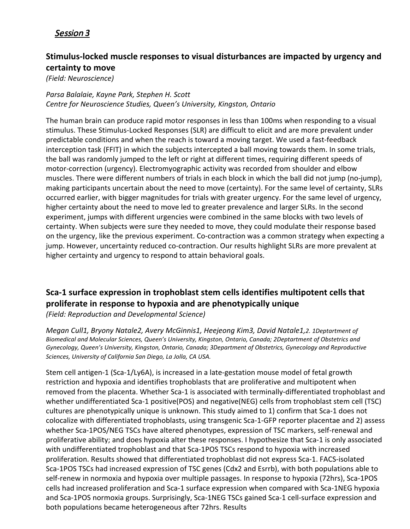#### Session *3*

#### **Stimulus-locked muscle responses to visual disturbances are impacted by urgency and certainty to move**

*(Field: Neuroscience)*

*Parsa Balalaie, Kayne Park, Stephen H. Scott Centre for Neuroscience Studies, Queen's University, Kingston, Ontario*

The human brain can produce rapid motor responses in less than 100ms when responding to a visual stimulus. These Stimulus-Locked Responses (SLR) are difficult to elicit and are more prevalent under predictable conditions and when the reach is toward a moving target. We used a fast-feedback interception task (FFIT) in which the subjects intercepted a ball moving towards them. In some trials, the ball was randomly jumped to the left or right at different times, requiring different speeds of motor-correction (urgency). Electromyographic activity was recorded from shoulder and elbow muscles. There were different numbers of trials in each block in which the ball did not jump (no-jump), making participants uncertain about the need to move (certainty). For the same level of certainty, SLRs occurred earlier, with bigger magnitudes for trials with greater urgency. For the same level of urgency, higher certainty about the need to move led to greater prevalence and larger SLRs. In the second experiment, jumps with different urgencies were combined in the same blocks with two levels of certainty. When subjects were sure they needed to move, they could modulate their response based on the urgency, like the previous experiment. Co-contraction was a common strategy when expecting a jump. However, uncertainty reduced co-contraction. Our results highlight SLRs are more prevalent at higher certainty and urgency to respond to attain behavioral goals.

## **Sca-1 surface expression in trophoblast stem cells identifies multipotent cells that proliferate in response to hypoxia and are phenotypically unique**

*(Field: Reproduction and Developmental Science)*

*Megan Cull1, Bryony Natale2, Avery McGinnis1, Heejeong Kim3, David Natale1,2. 1Deptartment of Biomedical and Molecular Sciences, Queen's University, Kingston, Ontario, Canada; 2Deptartment of Obstetrics and Gynecology, Queen's University, Kingston, Ontario, Canada; 3Department of Obstetrics, Gynecology and Reproductive Sciences, University of California San Diego, La Jolla, CA USA.*

Stem cell antigen-1 (Sca-1/Ly6A), is increased in a late-gestation mouse model of fetal growth restriction and hypoxia and identifies trophoblasts that are proliferative and multipotent when removed from the placenta. Whether Sca-1 is associated with terminally-differentiated trophoblast and whether undifferentiated Sca-1 positive(POS) and negative(NEG) cells from trophoblast stem cell (TSC) cultures are phenotypically unique is unknown. This study aimed to 1) confirm that Sca-1 does not colocalize with differentiated trophoblasts, using transgenic Sca-1-GFP reporter placentae and 2) assess whether Sca-1POS/NEG TSCs have altered phenotypes, expression of TSC markers, self-renewal and proliferative ability; and does hypoxia alter these responses. I hypothesize that Sca-1 is only associated with undifferentiated trophoblast and that Sca-1POS TSCs respond to hypoxia with increased proliferation. Results showed that differentiated trophoblast did not express Sca-1. FACS-isolated Sca-1POS TSCs had increased expression of TSC genes (Cdx2 and Esrrb), with both populations able to self-renew in normoxia and hypoxia over multiple passages. In response to hypoxia (72hrs), Sca-1POS cells had increased proliferation and Sca-1 surface expression when compared with Sca-1NEG hypoxia and Sca-1POS normoxia groups. Surprisingly, Sca-1NEG TSCs gained Sca-1 cell-surface expression and both populations became heterogeneous after 72hrs. Results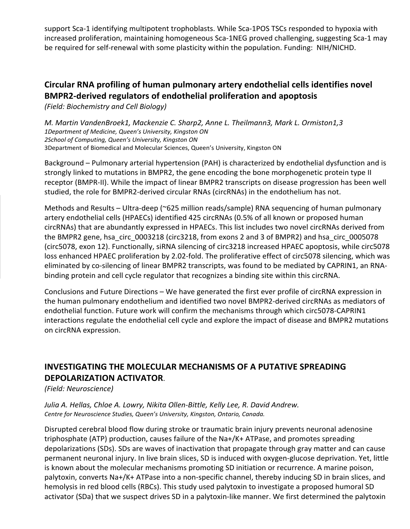support Sca-1 identifying multipotent trophoblasts. While Sca-1POS TSCs responded to hypoxia with increased proliferation, maintaining homogeneous Sca-1NEG proved challenging, suggesting Sca-1 may be required for self-renewal with some plasticity within the population. Funding: NIH/NICHD.

#### **Circular RNA profiling of human pulmonary artery endothelial cells identifies novel BMPR2-derived regulators of endothelial proliferation and apoptosis**

*(Field: Biochemistry and Cell Biology)*

*M. Martin VandenBroek1, Mackenzie C. Sharp2, Anne L. Theilmann3, Mark L. Ormiston1,3 1Department of Medicine, Queen's University, Kingston ON 2School of Computing, Queen's University, Kingston ON* 3Department of Biomedical and Molecular Sciences, Queen's University, Kingston ON

Background – Pulmonary arterial hypertension (PAH) is characterized by endothelial dysfunction and is strongly linked to mutations in BMPR2, the gene encoding the bone morphogenetic protein type II receptor (BMPR-II). While the impact of linear BMPR2 transcripts on disease progression has been well studied, the role for BMPR2-derived circular RNAs (circRNAs) in the endothelium has not.

Methods and Results – Ultra-deep (~625 million reads/sample) RNA sequencing of human pulmonary artery endothelial cells (HPAECs) identified 425 circRNAs (0.5% of all known or proposed human circRNAs) that are abundantly expressed in HPAECs. This list includes two novel circRNAs derived from the BMPR2 gene, hsa\_circ\_0003218 (circ3218, from exons 2 and 3 of BMPR2) and hsa\_circ\_0005078 (circ5078, exon 12). Functionally, siRNA silencing of circ3218 increased HPAEC apoptosis, while circ5078 loss enhanced HPAEC proliferation by 2.02-fold. The proliferative effect of circ5078 silencing, which was eliminated by co-silencing of linear BMPR2 transcripts, was found to be mediated by CAPRIN1, an RNAbinding protein and cell cycle regulator that recognizes a binding site within this circRNA.

Conclusions and Future Directions – We have generated the first ever profile of circRNA expression in the human pulmonary endothelium and identified two novel BMPR2-derived circRNAs as mediators of endothelial function. Future work will confirm the mechanisms through which circ5078-CAPRIN1 interactions regulate the endothelial cell cycle and explore the impact of disease and BMPR2 mutations on circRNA expression.

#### **INVESTIGATING THE MOLECULAR MECHANISMS OF A PUTATIVE SPREADING DEPOLARIZATION ACTIVATOR**.

*(Field: Neuroscience)*

*Julia A. Hellas, Chloe A. Lowry, Nikita Ollen-Bittle, Kelly Lee, R. David Andrew. Centre for Neuroscience Studies, Queen's University, Kingston, Ontario, Canada.*

Disrupted cerebral blood flow during stroke or traumatic brain injury prevents neuronal adenosine triphosphate (ATP) production, causes failure of the Na+/K+ ATPase, and promotes spreading depolarizations (SDs). SDs are waves of inactivation that propagate through gray matter and can cause permanent neuronal injury. In live brain slices, SD is induced with oxygen-glucose deprivation. Yet, little is known about the molecular mechanisms promoting SD initiation or recurrence. A marine poison, palytoxin, converts Na+/K+ ATPase into a non-specific channel, thereby inducing SD in brain slices, and hemolysis in red blood cells (RBCs). This study used palytoxin to investigate a proposed humoral SD activator (SDa) that we suspect drives SD in a palytoxin-like manner. We first determined the palytoxin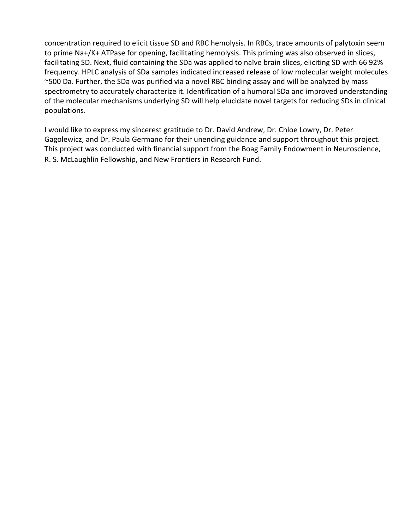concentration required to elicit tissue SD and RBC hemolysis. In RBCs, trace amounts of palytoxin seem to prime Na+/K+ ATPase for opening, facilitating hemolysis. This priming was also observed in slices, facilitating SD. Next, fluid containing the SDa was applied to naïve brain slices, eliciting SD with 66 92% frequency. HPLC analysis of SDa samples indicated increased release of low molecular weight molecules ~500 Da. Further, the SDa was purified via a novel RBC binding assay and will be analyzed by mass spectrometry to accurately characterize it. Identification of a humoral SDa and improved understanding of the molecular mechanisms underlying SD will help elucidate novel targets for reducing SDs in clinical populations.

I would like to express my sincerest gratitude to Dr. David Andrew, Dr. Chloe Lowry, Dr. Peter Gagolewicz, and Dr. Paula Germano for their unending guidance and support throughout this project. This project was conducted with financial support from the Boag Family Endowment in Neuroscience, R. S. McLaughlin Fellowship, and New Frontiers in Research Fund.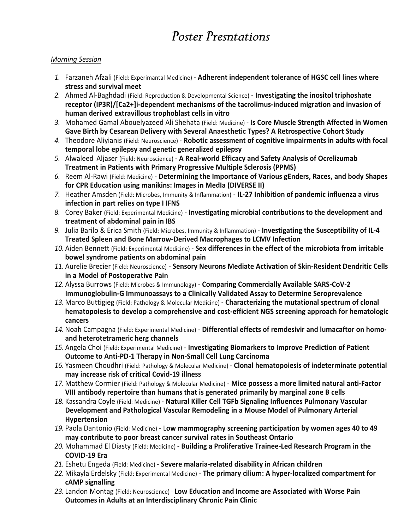# *Poster Presntations*

#### *Morning Session*

- *1.* Farzaneh Afzali (Field: Experimantal Medicine) **Adherent independent tolerance of HGSC cell lines where stress and survival meet**
- *2.* Ahmed Al-Baghdadi (Field: Reproduction & Developmental Science) **Investigating the inositol triphoshate receptor (IP3R)/[Ca2+]i-dependent mechanisms of the tacrolimus-induced migration and invasion of human derived extravillous trophoblast cells in vitro**
- *3.* Mohamed Gamal Abouelyazeed Ali Shehata (Field: Medicine) I**s Core Muscle Strength Affected in Women Gave Birth by Cesarean Delivery with Several Anaesthetic Types? A Retrospective Cohort Study**
- *4.* Theodore Aliyianis (Field: Neuroscience) **Robotic assessment of cognitive impairments in adults with focal temporal lobe epilepsy and genetic generalized epilepsy**
- *5.* Alwaleed Aljaser (Field: Neuroscience) **A Real-world Efficacy and Safety Analysis of Ocrelizumab Treatment in Patients with Primary Progressive Multiple Sclerosis (PPMS)**
- *6.* Reem Al-Rawi (Field: Medicine) **Determining the Importance of Various gEnders, Races, and body Shapes for CPR Education using manikins: Images in MedIa (DIVERSE II)**
- *7.* Heather Amsden (Field: Microbes, Immunity & Inflammation) **IL-27 Inhibition of pandemic influenza a virus infection in part relies on type I IFNS**
- *8.* Corey Baker (Field: Experimental Medicine) **Investigating microbial contributions to the development and treatment of abdominal pain in IBS**
- *9.* Julia Barilo & Erica Smith (Field: Microbes, Immunity & Inflammation) **Investigating the Susceptibility of IL-4 Treated Spleen and Bone Marrow-Derived Macrophages to LCMV Infection**
- *10.* Aiden Bennett (Field: Experimental Medicine) **Sex differences in the effect of the microbiota from irritable bowel syndrome patients on abdominal pain**
- *11.* Aurelie Brecier (Field: Neuroscience) **Sensory Neurons Mediate Activation of Skin-Resident Dendritic Cells in a Model of Postoperative Pain**
- *12.* Alyssa Burrows (Field: Microbes & Immunology) **Comparing Commercially Available SARS-CoV-2 Immunoglobulin-G Immunoassays to a Clinically Validated Assay to Determine Seroprevalence**
- *13.* Marco Buttigieg (Field: Pathology & Molecular Medicine) **Characterizing the mutational spectrum of clonal hematopoiesis to develop a comprehensive and cost-efficient NGS screening approach for hematologic cancers**
- *14.*Noah Campagna (Field: Experimental Medicine) **Differential effects of remdesivir and lumacaftor on homoand heterotetrameric herg channels**
- *15.* Angela Choi (Field: Experimental Medicine) **Investigating Biomarkers to Improve Prediction of Patient Outcome to Anti-PD-1 Therapy in Non-Small Cell Lung Carcinoma**
- *16.* Yasmeen Choudhri (Field: Pathology & Molecular Medicine) **Clonal hematopoiesis of indeterminate potential may increase risk of critical Covid-19 illness**
- *17.* Matthew Cormier (Field: Pathology & Molecular Medicine) **Mice possess a more limited natural anti-Factor VIII antibody repertoire than humans that is generated primarily by marginal zone B cells**
- *18.* Kassandra Coyle (Field: Medicine) **Natural Killer Cell TGFb Signaling Influences Pulmonary Vascular Development and Pathological Vascular Remodeling in a Mouse Model of Pulmonary Arterial Hypertension**
- *19.* Paola Dantonio (Field: Medicine) L**ow mammography screening participation by women ages 40 to 49 may contribute to poor breast cancer survival rates in Southeast Ontario**
- *20.* Mohammad El Diasty (Field: Medicine) **Building a Proliferative Trainee-Led Research Program in the COVID-19 Era**
- *21.* Eshetu Engeda (Field: Medicine) **Severe malaria-related disability in African children**
- *22.* Mikayla Erdelsky (Field: Experimental Medicine) **The primary cilium: A hyper-localized compartment for cAMP signalling**
- *23.* Landon Montag (Field: Neuroscience) **Low Education and Income are Associated with Worse Pain Outcomes in Adults at an Interdisciplinary Chronic Pain Clinic**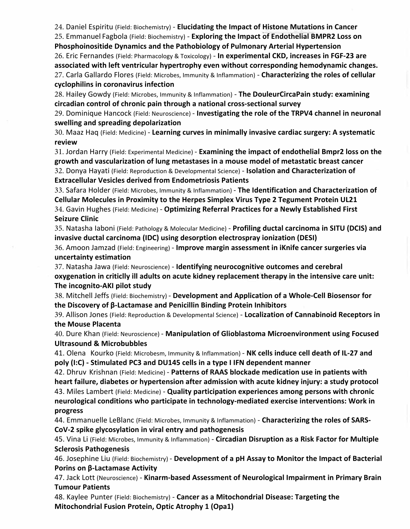24. Daniel Espiritu (Field: Biochemistry) - **Elucidating the Impact of Histone Mutations in Cancer**

25. Emmanuel Fagbola (Field: Biochemistry) - **Exploring the Impact of Endothelial BMPR2 Loss on Phosphoinositide Dynamics and the Pathobiology of Pulmonary Arterial Hypertension**

26. Eric Fernandes (Field: Pharmacology & Toxicology) - **In experimental CKD, increases in FGF-23 are associated with left ventricular hypertrophy even without corresponding hemodynamic changes.** 27. Carla Gallardo Flores (Field: Microbes, Immunity & Inflammation) - **Characterizing the roles of cellular cyclophilins in coronavirus infection**

28. Hailey Gowdy (Field: Microbes, Immunity & Inflammation) - **The DouleurCircaPain study: examining circadian control of chronic pain through a national cross-sectional survey**

29. Dominique Hancock (Field: Neuroscience) - **Investigating the role of the TRPV4 channel in neuronal swelling and spreading depolarization**

30. Maaz Haq (Field: Medicine) - **Learning curves in minimally invasive cardiac surgery: A systematic review**

31. Jordan Harry (Field: Experimental Medicine) - **Examining the impact of endothelial Bmpr2 loss on the growth and vascularization of lung metastases in a mouse model of metastatic breast cancer**

32. Donya Hayati (Field: Reproduction & Developmental Science) - **Isolation and Characterization of Extracellular Vesicles derived from Endometriosis Patients**

33. Safara Holder (Field: Microbes, Immunity & Inflammation) - **The Identification and Characterization of Cellular Molecules in Proximity to the Herpes Simplex Virus Type 2 Tegument Protein UL21** 34. Gavin Hughes (Field: Medicine) - **Optimizing Referral Practices for a Newly Established First Seizure Clinic**

35. Natasha Iaboni (Field: Pathology & Molecular Medicine) - **Profiling ductal carcinoma in SITU (DCIS) and invasive ductal carcinoma (IDC) using desorption electrospray ionization (DESI)**

36. Amoon Jamzad (Field: Engineering) - **Improve margin assessment in iKnife cancer surgeries via uncertainty estimation**

37. Natasha Jawa (Field: Neuroscience) - **Identifying neurocognitive outcomes and cerebral oxygenation in criticlly ill adults on acute kidney replacement therapy in the intensive care unit: The incognito-AKI pilot study**

38. Mitchell Jeffs (Field: Biochemistry) - **Development and Application of a Whole-Cell Biosensor for the Discovery of β-Lactamase and Penicillin Binding Protein Inhibitors**

39. Allison Jones (Field: Reproduction & Developmental Science) - **Localization of Cannabinoid Receptors in the Mouse Placenta**

40. Dure Khan (Field: Neuroscience) - **Manipulation of Glioblastoma Microenvironment using Focused Ultrasound & Microbubbles**

41. Olena Kourko (Field: Microbesm, Immunity & Inflammation) - **NK cells induce cell death of IL-27 and poly (I:C) - Stimulated PC3 and DU145 cells in a type I IFN dependent manner**

42. Dhruv Krishnan (Field: Medicine) - **Patterns of RAAS blockade medication use in patients with heart failure, diabetes or hypertension after admission with acute kidney injury: a study protocol** 43. Miles Lambert (Field: Medicine) - **Quality participation experiences among persons with chronic neurological conditions who participate in technology-mediated exercise interventions: Work in progress**

44. Emmanuelle LeBlanc (Field: Microbes, Immunity & Inflammation) - **Characterizing the roles of SARS-CoV-2 spike glycosylation in viral entry and pathogenesis**

45. Vina Li (Field: Microbes, Immunity & Inflammation) - **Circadian Disruption as a Risk Factor for Multiple Sclerosis Pathogenesis**

46. Josephine Liu (Field: Biochemistry) - **Development of a pH Assay to Monitor the Impact of Bacterial Porins on β-Lactamase Activity**

47. Jack Lott (Neuroscience) - **Kinarm-based Assessment of Neurological Impairment in Primary Brain Tumour Patients**

48. Kaylee Punter (Field: Biochemistry) - **Cancer as a Mitochondrial Disease: Targeting the Mitochondrial Fusion Protein, Optic Atrophy 1 (Opa1)**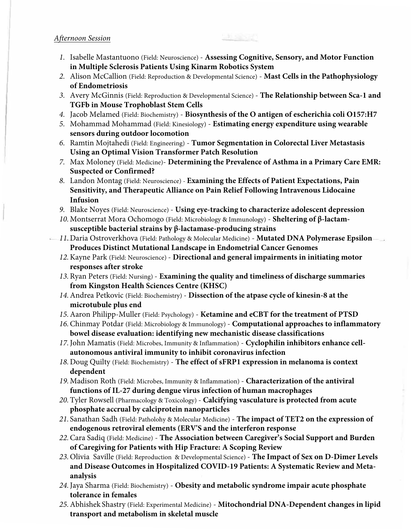#### *Afternoon Session*

- *1.* Isabelle Mastantuono (Field: Neuroscience) **Assessing Cognitive, Sensory, and Motor Function in Multiple Sclerosis Patients Using Kinarm Robotics System**
- *2.* Alison McCallion (Field: Reproduction & Developmental Science) **Mast Cells in the Pathophysiology of Endometriosis**
- *3.* Avery McGinnis (Field: Reproduction & Developmental Science) **The Relationship between Sca-1 and TGFb in Mouse Trophoblast Stem Cells**
- *4.* Jacob Melamed (Field: Biochemistry) **Biosynthesis of the O antigen of escherichia coli O157:H7**
- *5.* Mohammad Mohammad (Field: Kinesiology) **Estimating energy expenditure using wearable sensors during outdoor locomotion**
- *6.* Ramtin Mojtahedi (Field: Engineering) **Tumor Segmentation in Colorectal Liver Metastasis Using an Optimal Vision Transformer Patch Resolution**
- *7.* Max Moloney (Field: Medicine)- **Determining the Prevalence of Asthma in a Primary Care EMR: Suspected or Confirmed?**
- *8.* Landon Montag (Field: Neuroscience) **Examining the Effects of Patient Expectations, Pain Sensitivity, and Therapeutic Alliance on Pain Relief Following Intravenous Lidocaine Infusion**
- *9.* Blake Noyes (Field: Neuroscience) **Using eye-tracking to characterize adolescent depression**
- *10.*Montserrat Mora Ochomogo (Field: Microbiology & Immunology) **Sheltering of β-lactamsusceptible bacterial strains by β-lactamase-producing strains**
- *11.*Daria Ostroverkhova (Field: Pathology & Molecular Medicine) **Mutated DNA Polymerase Epsilon Produces Distinct Mutational Landscape in Endometrial Cancer Genomes**
	- *12.*Kayne Park (Field: Neuroscience) **Directional and general impairments in initiating motor responses after stroke**
	- *13.*Ryan Peters (Field: Nursing) **Examining the quality and timeliness of discharge summaries from Kingston Health Sciences Centre (KHSC)**
	- *14.*Andrea Petkovic (Field: Biochemistry) **Dissection of the atpase cycle of kinesin-8 at the microtubule plus end**
	- *15.*Aaron Philipp-Muller (Field: Psychology) **Ketamine and eCBT for the treatment of PTSD**
	- *16.*Chinmay Potdar (Field: Microbiology & Immunology) **Computational approaches to inflammatory bowel disease evaluation: identifying new mechanistic disease classifications**
	- *17.*John Mamatis (Field: Microbes, Immunity & Inflammation) **Cyclophilin inhibitors enhance cellautonomous antiviral immunity to inhibit coronavirus infection**
	- *18.*Doug Quilty (Field: Biochemistry) **The effect of sFRP1 expression in melanoma is context dependent**
	- *19.*Madison Roth (Field: Microbes, Immunity & Inflammation) **Characterization of the antiviral functions of IL-27 during dengue virus infection of human macrophages**
	- *20.*Tyler Rowsell (Pharmacology & Toxicology) **Calcifying vasculature is protected from acute phosphate accrual by calciprotein nanoparticles**
	- *21.* Sanathan Sadh (Field: Patholohy & Molecular Medicine) **The impact of TET2 on the expression of endogenous retroviral elements (ERV'S and the interferon response**
	- *22.*Cara Sadiq (Field: Medicine) **The Association between Caregiver's Social Support and Burden of Caregiving for Patients with Hip Fracture: A Scoping Review**
	- *23.*Olivia Saville (Field: Reproduction & Developmental Science) **The Impact of Sex on D-Dimer Levels and Disease Outcomes in Hospitalized COVID-19 Patients: A Systematic Review and Metaanalysis**
	- *24.*Jaya Sharma (Field: Biochemistry) **Obesity and metabolic syndrome impair acute phosphate tolerance in females**
	- *25.*Abhishek Shastry (Field: Experimental Medicine) **Mitochondrial DNA-Dependent changes in lipid transport and metabolism in skeletal muscle**